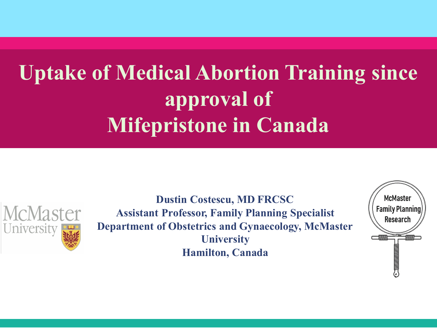#### **Uptake of Medical Abortion Training since approval of Mifepristone in Canada**



**Dustin Costescu, MD FRCSC Assistant Professor, Family Planning Specialist Department of Obstetrics and Gynaecology, McMaster University Hamilton, Canada**

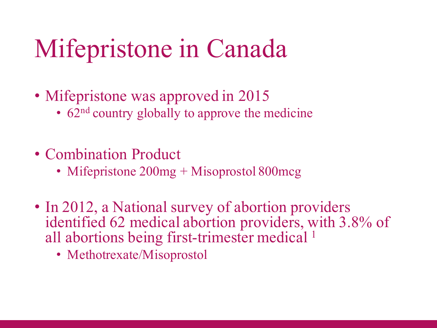## Mifepristone in Canada

- Mifepristone was approved in 2015
	- 62<sup>nd</sup> country globally to approve the medicine
- Combination Product
	- Mifepristone 200mg + Misoprostol 800mcg
- In 2012, a National survey of abortion providers identified 62 medical abortion providers, with 3.8% of all abortions being first-trimester medical<sup>1</sup>
	- Methotrexate/Misoprostol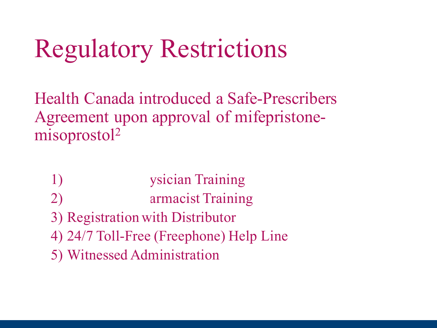## Regulatory Restrictions

Health Canada introduced a Safe-Prescribers Agreement upon approval of mifepristonemisoprostol2

- 1) Mandatory Physician Training
- 2) armacist Training
- 3) Registration with Distributor
- 4) 24/7 Toll-Free (Freephone) Help Line
- 5) Witnessed Administration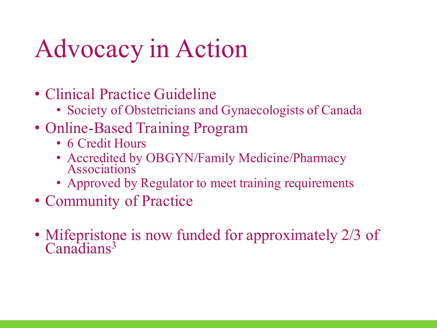# Advocacy in Action

- Clinical Practice Guideline
	- Society of Obstetricians and Gynaecologists of Canada
- Online-Based Training Program
	- 6 Credit Hours
	- Accredited by OBGYN/Family Medicine/Pharmacy Associations
	- Approved by Regulator to meet training requirements
- Community of Practice
- Mifepristone is now funded for approximately 2/3 of Canadians<sup>3</sup>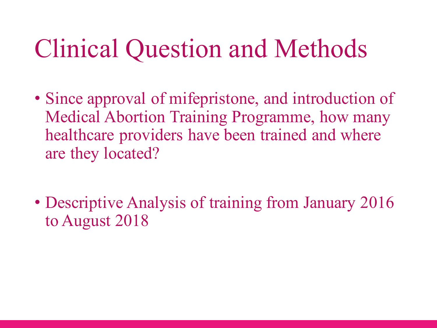## Clinical Question and Methods

- Since approval of mifepristone, and introduction of Medical Abortion Training Programme, how many healthcare providers have been trained and where are they located?
- Descriptive Analysis of training from January 2016 to August 2018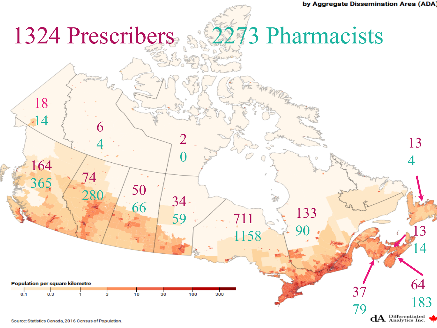

Source: Statistics Canada, 2016 Census of Population.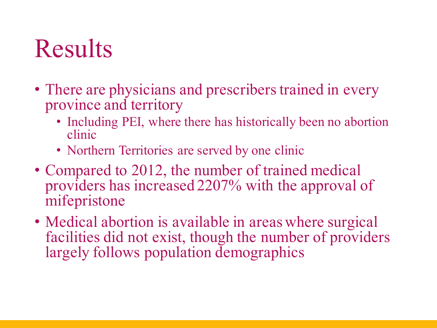## **Results**

- There are physicians and prescribers trained in every province and territory
	- Including PEI, where there has historically been no abortion clinic
	- Northern Territories are served by one clinic
- Compared to 2012, the number of trained medical providers has increased 2207% with the approval of mifepristone
- Medical abortion is available in areas where surgical facilities did not exist, though the number of providers largely follows population demographics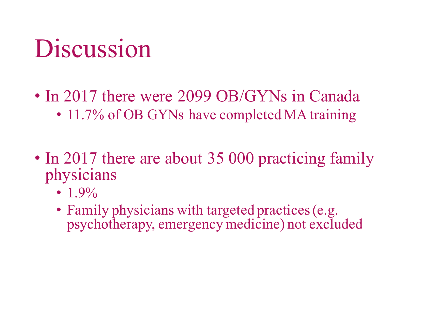## **Discussion**

- In 2017 there were 2099 OB/GYNs in Canada • 11.7% of OB GYNs have completed MA training
- In 2017 there are about 35 000 practicing family physicians
	- $1.9\%$
	- Family physicians with targeted practices (e.g. psychotherapy, emergency medicine) not excluded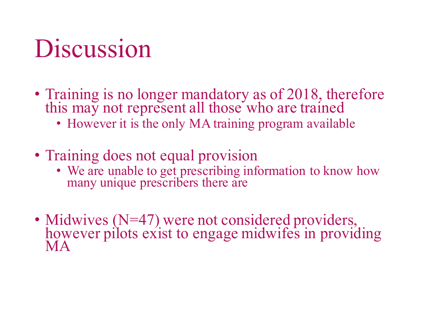### Discussion

- Training is no longer mandatory as of 2018, therefore this may not represent all those who are trained
	- However it is the only MA training program available
- Training does not equal provision
	- We are unable to get prescribing information to know how many unique prescribers there are
- Midwives (N=47) were not considered providers, however pilots exist to engage midwifes in providing MA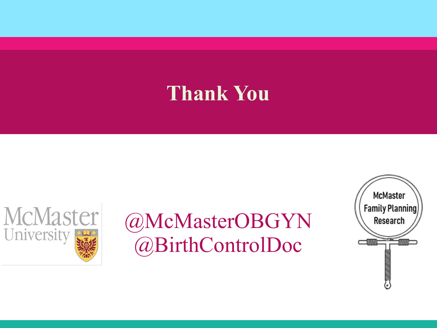#### **Thank You**



#### @McMasterOBGYN @BirthControlDoc